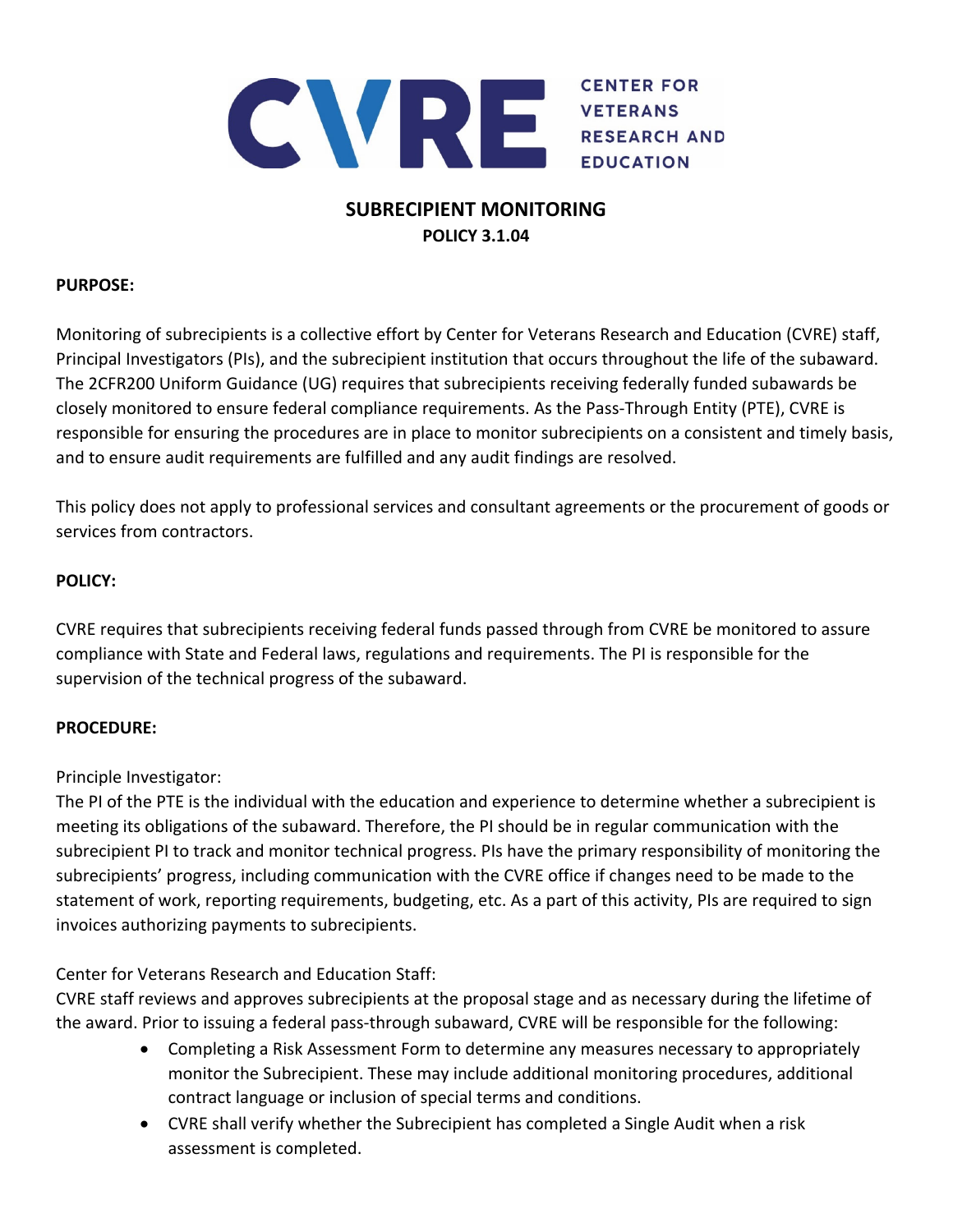

# **SUBRECIPIENT MONITORING POLICY 3.1.04**

## **PURPOSE:**

Monitoring of subrecipients is a collective effort by Center for Veterans Research and Education (CVRE) staff, Principal Investigators (PIs), and the subrecipient institution that occurs throughout the life of the subaward. The 2CFR200 Uniform Guidance (UG) requires that subrecipients receiving federally funded subawards be closely monitored to ensure federal compliance requirements. As the Pass‐Through Entity (PTE), CVRE is responsible for ensuring the procedures are in place to monitor subrecipients on a consistent and timely basis, and to ensure audit requirements are fulfilled and any audit findings are resolved.

This policy does not apply to professional services and consultant agreements or the procurement of goods or services from contractors.

## **POLICY:**

CVRE requires that subrecipients receiving federal funds passed through from CVRE be monitored to assure compliance with State and Federal laws, regulations and requirements. The PI is responsible for the supervision of the technical progress of the subaward.

## **PROCEDURE:**

Principle Investigator:

The PI of the PTE is the individual with the education and experience to determine whether a subrecipient is meeting its obligations of the subaward. Therefore, the PI should be in regular communication with the subrecipient PI to track and monitor technical progress. PIs have the primary responsibility of monitoring the subrecipients' progress, including communication with the CVRE office if changes need to be made to the statement of work, reporting requirements, budgeting, etc. As a part of this activity, PIs are required to sign invoices authorizing payments to subrecipients.

Center for Veterans Research and Education Staff:

CVRE staff reviews and approves subrecipients at the proposal stage and as necessary during the lifetime of the award. Prior to issuing a federal pass‐through subaward, CVRE will be responsible for the following:

- Completing a Risk Assessment Form to determine any measures necessary to appropriately monitor the Subrecipient. These may include additional monitoring procedures, additional contract language or inclusion of special terms and conditions.
- CVRE shall verify whether the Subrecipient has completed a Single Audit when a risk assessment is completed.